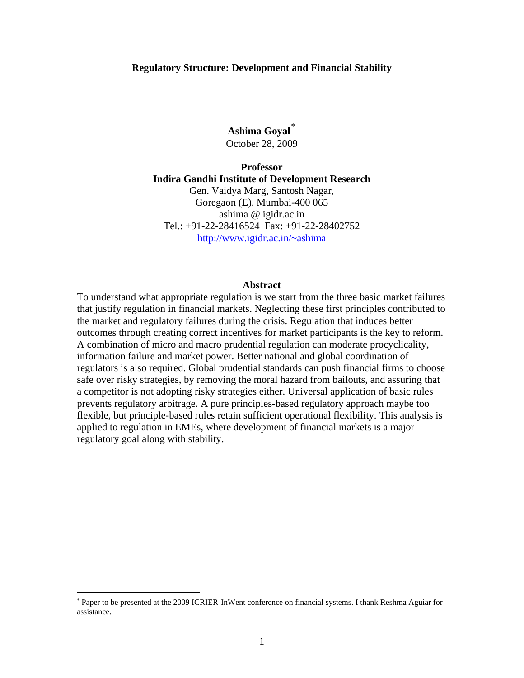#### **Regulatory Structure: Development and Financial Stability**

**Ashima Goyal**[∗](#page-0-0) October 28, 2009

**Professor Indira Gandhi Institute of Development Research**  Gen. Vaidya Marg, Santosh Nagar, Goregaon (E), Mumbai-400 065 ashima @ igidr.ac.in Tel.: +91-22-28416524 Fax: +91-22-28402752 [http://www.igidr.ac.in/~ashima](http://www.igidr.ac.in/%7Eashima)

#### **Abstract**

To understand what appropriate regulation is we start from the three basic market failures that justify regulation in financial markets. Neglecting these first principles contributed to the market and regulatory failures during the crisis. Regulation that induces better outcomes through creating correct incentives for market participants is the key to reform. A combination of micro and macro prudential regulation can moderate procyclicality, information failure and market power. Better national and global coordination of regulators is also required. Global prudential standards can push financial firms to choose safe over risky strategies, by removing the moral hazard from bailouts, and assuring that a competitor is not adopting risky strategies either. Universal application of basic rules prevents regulatory arbitrage. A pure principles-based regulatory approach maybe too flexible, but principle-based rules retain sufficient operational flexibility. This analysis is applied to regulation in EMEs, where development of financial markets is a major regulatory goal along with stability.

<span id="page-0-0"></span><sup>∗</sup> Paper to be presented at the 2009 ICRIER-InWent conference on financial systems. I thank Reshma Aguiar for assistance.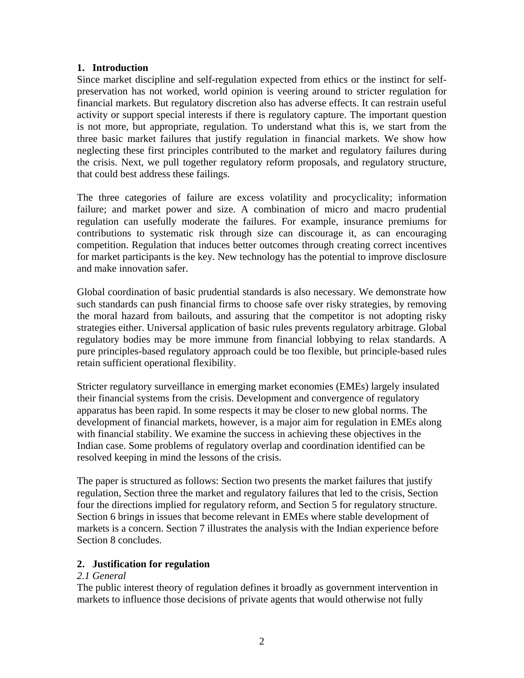## **1. Introduction**

Since market discipline and self-regulation expected from ethics or the instinct for selfpreservation has not worked, world opinion is veering around to stricter regulation for financial markets. But regulatory discretion also has adverse effects. It can restrain useful activity or support special interests if there is regulatory capture. The important question is not more, but appropriate, regulation. To understand what this is, we start from the three basic market failures that justify regulation in financial markets. We show how neglecting these first principles contributed to the market and regulatory failures during the crisis. Next, we pull together regulatory reform proposals, and regulatory structure, that could best address these failings.

The three categories of failure are excess volatility and procyclicality; information failure; and market power and size. A combination of micro and macro prudential regulation can usefully moderate the failures. For example, insurance premiums for contributions to systematic risk through size can discourage it, as can encouraging competition. Regulation that induces better outcomes through creating correct incentives for market participants is the key. New technology has the potential to improve disclosure and make innovation safer.

Global coordination of basic prudential standards is also necessary. We demonstrate how such standards can push financial firms to choose safe over risky strategies, by removing the moral hazard from bailouts, and assuring that the competitor is not adopting risky strategies either. Universal application of basic rules prevents regulatory arbitrage. Global regulatory bodies may be more immune from financial lobbying to relax standards. A pure principles-based regulatory approach could be too flexible, but principle-based rules retain sufficient operational flexibility.

Stricter regulatory surveillance in emerging market economies (EMEs) largely insulated their financial systems from the crisis. Development and convergence of regulatory apparatus has been rapid. In some respects it may be closer to new global norms. The development of financial markets, however, is a major aim for regulation in EMEs along with financial stability. We examine the success in achieving these objectives in the Indian case. Some problems of regulatory overlap and coordination identified can be resolved keeping in mind the lessons of the crisis.

The paper is structured as follows: Section two presents the market failures that justify regulation, Section three the market and regulatory failures that led to the crisis, Section four the directions implied for regulatory reform, and Section 5 for regulatory structure. Section 6 brings in issues that become relevant in EMEs where stable development of markets is a concern. Section 7 illustrates the analysis with the Indian experience before Section 8 concludes.

# **2. Justification for regulation**

# *2.1 General*

The public interest theory of regulation defines it broadly as government intervention in markets to influence those decisions of private agents that would otherwise not fully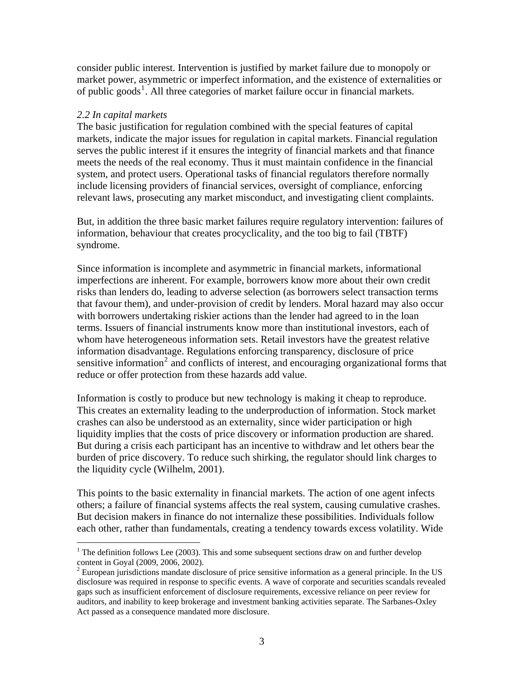consider public interest. Intervention is justified by market failure due to monopoly or market power, asymmetric or imperfect information, and the existence of externalities or of public goods<sup>[1](#page-2-0)</sup>. All three categories of market failure occur in financial markets.

#### *2.2 In capital markets*

 $\overline{a}$ 

The basic justification for regulation combined with the special features of capital markets, indicate the major issues for regulation in capital markets. Financial regulation serves the public interest if it ensures the integrity of financial markets and that finance meets the needs of the real economy. Thus it must maintain confidence in the financial system, and protect users. Operational tasks of financial regulators therefore normally include licensing providers of financial services, oversight of compliance, enforcing relevant laws, prosecuting any market misconduct, and investigating client complaints.

But, in addition the three basic market failures require regulatory intervention: failures of information, behaviour that creates procyclicality, and the too big to fail (TBTF) syndrome.

Since information is incomplete and asymmetric in financial markets, informational imperfections are inherent. For example, borrowers know more about their own credit risks than lenders do, leading to adverse selection (as borrowers select transaction terms that favour them), and under-provision of credit by lenders. Moral hazard may also occur with borrowers undertaking riskier actions than the lender had agreed to in the loan terms. Issuers of financial instruments know more than institutional investors, each of whom have heterogeneous information sets. Retail investors have the greatest relative information disadvantage. Regulations enforcing transparency, disclosure of price sensitive information<sup>[2](#page-2-1)</sup> and conflicts of interest, and encouraging organizational forms that reduce or offer protection from these hazards add value.

Information is costly to produce but new technology is making it cheap to reproduce. This creates an externality leading to the underproduction of information. Stock market crashes can also be understood as an externality, since wider participation or high liquidity implies that the costs of price discovery or information production are shared. But during a crisis each participant has an incentive to withdraw and let others bear the burden of price discovery. To reduce such shirking, the regulator should link charges to the liquidity cycle (Wilhelm, 2001).

This points to the basic externality in financial markets. The action of one agent infects others; a failure of financial systems affects the real system, causing cumulative crashes. But decision makers in finance do not internalize these possibilities. Individuals follow each other, rather than fundamentals, creating a tendency towards excess volatility. Wide

<span id="page-2-0"></span><sup>&</sup>lt;sup>1</sup> The definition follows Lee (2003). This and some subsequent sections draw on and further develop content in Goyal (2009, 2006, 2002).

<span id="page-2-1"></span> $2^{2}$  European jurisdictions mandate disclosure of price sensitive information as a general principle. In the US disclosure was required in response to specific events. A wave of corporate and securities scandals revealed gaps such as insufficient enforcement of disclosure requirements, excessive reliance on peer review for auditors, and inability to keep brokerage and investment banking activities separate. The Sarbanes-Oxley Act passed as a consequence mandated more disclosure.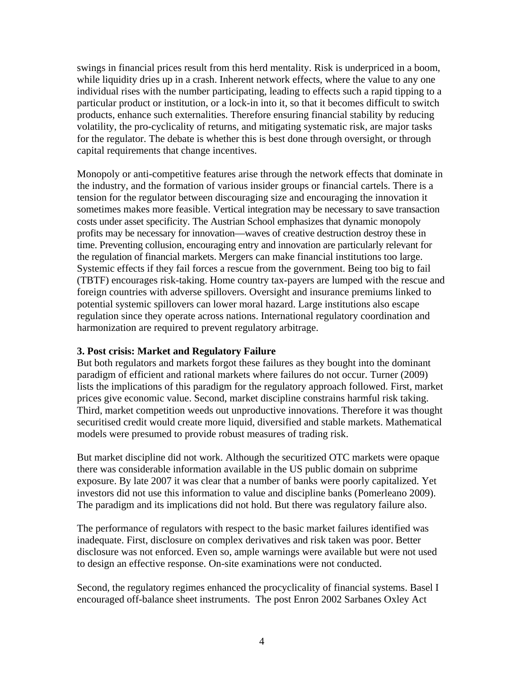swings in financial prices result from this herd mentality. Risk is underpriced in a boom, while liquidity dries up in a crash. Inherent network effects, where the value to any one individual rises with the number participating, leading to effects such a rapid tipping to a particular product or institution, or a lock-in into it, so that it becomes difficult to switch products, enhance such externalities. Therefore ensuring financial stability by reducing volatility, the pro-cyclicality of returns, and mitigating systematic risk, are major tasks for the regulator. The debate is whether this is best done through oversight, or through capital requirements that change incentives.

Monopoly or anti-competitive features arise through the network effects that dominate in the industry, and the formation of various insider groups or financial cartels. There is a tension for the regulator between discouraging size and encouraging the innovation it sometimes makes more feasible. Vertical integration may be necessary to save transaction costs under asset specificity. The Austrian School emphasizes that dynamic monopoly profits may be necessary for innovation—waves of creative destruction destroy these in time. Preventing collusion, encouraging entry and innovation are particularly relevant for the regulation of financial markets. Mergers can make financial institutions too large. Systemic effects if they fail forces a rescue from the government. Being too big to fail (TBTF) encourages risk-taking. Home country tax-payers are lumped with the rescue and foreign countries with adverse spillovers. Oversight and insurance premiums linked to potential systemic spillovers can lower moral hazard. Large institutions also escape regulation since they operate across nations. International regulatory coordination and harmonization are required to prevent regulatory arbitrage.

### **3. Post crisis: Market and Regulatory Failure**

But both regulators and markets forgot these failures as they bought into the dominant paradigm of efficient and rational markets where failures do not occur. Turner (2009) lists the implications of this paradigm for the regulatory approach followed. First, market prices give economic value. Second, market discipline constrains harmful risk taking. Third, market competition weeds out unproductive innovations. Therefore it was thought securitised credit would create more liquid, diversified and stable markets. Mathematical models were presumed to provide robust measures of trading risk.

But market discipline did not work. Although the securitized OTC markets were opaque there was considerable information available in the US public domain on subprime exposure. By late 2007 it was clear that a number of banks were poorly capitalized. Yet investors did not use this information to value and discipline banks (Pomerleano 2009). The paradigm and its implications did not hold. But there was regulatory failure also.

The performance of regulators with respect to the basic market failures identified was inadequate. First, disclosure on complex derivatives and risk taken was poor. Better disclosure was not enforced. Even so, ample warnings were available but were not used to design an effective response. On-site examinations were not conducted.

Second, the regulatory regimes enhanced the procyclicality of financial systems. Basel I encouraged off-balance sheet instruments. The post Enron 2002 Sarbanes Oxley Act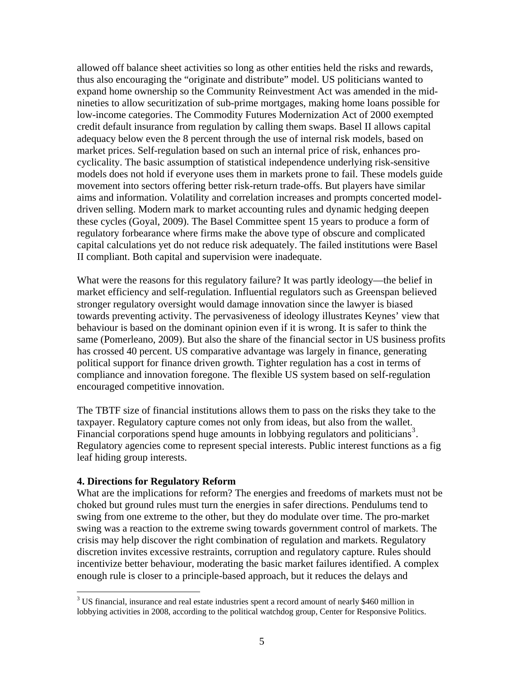allowed off balance sheet activities so long as other entities held the risks and rewards, thus also encouraging the "originate and distribute" model. US politicians wanted to expand home ownership so the Community Reinvestment Act was amended in the midnineties to allow securitization of sub-prime mortgages, making home loans possible for low-income categories. The Commodity Futures Modernization Act of 2000 exempted credit default insurance from regulation by calling them swaps. Basel II allows capital adequacy below even the 8 percent through the use of internal risk models, based on market prices. Self-regulation based on such an internal price of risk, enhances procyclicality. The basic assumption of statistical independence underlying risk-sensitive models does not hold if everyone uses them in markets prone to fail. These models guide movement into sectors offering better risk-return trade-offs. But players have similar aims and information. Volatility and correlation increases and prompts concerted modeldriven selling. Modern mark to market accounting rules and dynamic hedging deepen these cycles (Goyal, 2009). The Basel Committee spent 15 years to produce a form of regulatory forbearance where firms make the above type of obscure and complicated capital calculations yet do not reduce risk adequately. The failed institutions were Basel II compliant. Both capital and supervision were inadequate.

What were the reasons for this regulatory failure? It was partly ideology—the belief in market efficiency and self-regulation. Influential regulators such as Greenspan believed stronger regulatory oversight would damage innovation since the lawyer is biased towards preventing activity. The pervasiveness of ideology illustrates Keynes' view that behaviour is based on the dominant opinion even if it is wrong. It is safer to think the same (Pomerleano, 2009). But also the share of the financial sector in US business profits has crossed 40 percent. US comparative advantage was largely in finance, generating political support for finance driven growth. Tighter regulation has a cost in terms of compliance and innovation foregone. The flexible US system based on self-regulation encouraged competitive innovation.

The TBTF size of financial institutions allows them to pass on the risks they take to the taxpayer. Regulatory capture comes not only from ideas, but also from the wallet. Financial corporations spend huge amounts in lobbying regulators and politicians<sup>[3](#page-4-0)</sup>. Regulatory agencies come to represent special interests. Public interest functions as a fig leaf hiding group interests.

### **4. Directions for Regulatory Reform**

 $\overline{a}$ 

What are the implications for reform? The energies and freedoms of markets must not be choked but ground rules must turn the energies in safer directions. Pendulums tend to swing from one extreme to the other, but they do modulate over time. The pro-market swing was a reaction to the extreme swing towards government control of markets. The crisis may help discover the right combination of regulation and markets. Regulatory discretion invites excessive restraints, corruption and regulatory capture. Rules should incentivize better behaviour, moderating the basic market failures identified. A complex enough rule is closer to a principle-based approach, but it reduces the delays and

<span id="page-4-0"></span> $3 \text{ US financial, insurance}$  and real estate industries spent a record amount of nearly \$460 million in lobbying activities in 2008, according to the political watchdog group, Center for Responsive Politics.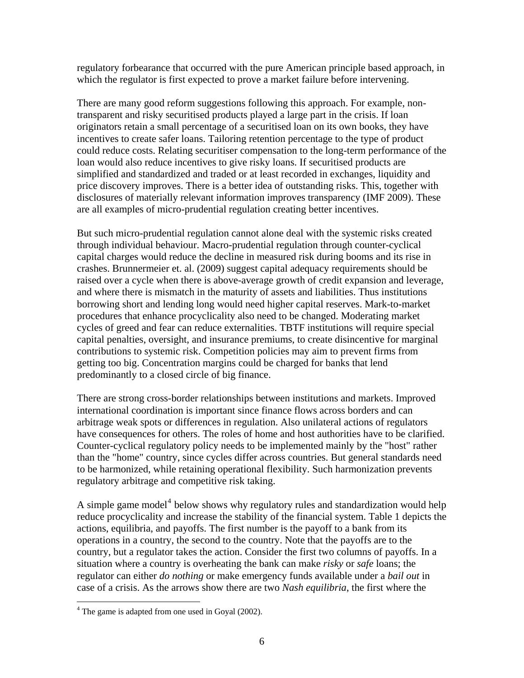regulatory forbearance that occurred with the pure American principle based approach, in which the regulator is first expected to prove a market failure before intervening.

There are many good reform suggestions following this approach. For example, nontransparent and risky securitised products played a large part in the crisis. If loan originators retain a small percentage of a securitised loan on its own books, they have incentives to create safer loans. Tailoring retention percentage to the type of product could reduce costs. Relating securitiser compensation to the long-term performance of the loan would also reduce incentives to give risky loans. If securitised products are simplified and standardized and traded or at least recorded in exchanges, liquidity and price discovery improves. There is a better idea of outstanding risks. This, together with disclosures of materially relevant information improves transparency (IMF 2009). These are all examples of micro-prudential regulation creating better incentives.

But such micro-prudential regulation cannot alone deal with the systemic risks created through individual behaviour. Macro-prudential regulation through counter-cyclical capital charges would reduce the decline in measured risk during booms and its rise in crashes. Brunnermeier et. al. (2009) suggest capital adequacy requirements should be raised over a cycle when there is above-average growth of credit expansion and leverage, and where there is mismatch in the maturity of assets and liabilities. Thus institutions borrowing short and lending long would need higher capital reserves. Mark-to-market procedures that enhance procyclicality also need to be changed. Moderating market cycles of greed and fear can reduce externalities. TBTF institutions will require special capital penalties, oversight, and insurance premiums, to create disincentive for marginal contributions to systemic risk. Competition policies may aim to prevent firms from getting too big. Concentration margins could be charged for banks that lend predominantly to a closed circle of big finance.

There are strong cross-border relationships between institutions and markets. Improved international coordination is important since finance flows across borders and can arbitrage weak spots or differences in regulation. Also unilateral actions of regulators have consequences for others. The roles of home and host authorities have to be clarified. Counter-cyclical regulatory policy needs to be implemented mainly by the "host" rather than the "home" country, since cycles differ across countries. But general standards need to be harmonized, while retaining operational flexibility. Such harmonization prevents regulatory arbitrage and competitive risk taking.

A simple game model<sup>[4](#page-5-0)</sup> below shows why regulatory rules and standardization would help reduce procyclicality and increase the stability of the financial system. Table 1 depicts the actions, equilibria, and payoffs. The first number is the payoff to a bank from its operations in a country, the second to the country. Note that the payoffs are to the country, but a regulator takes the action. Consider the first two columns of payoffs. In a situation where a country is overheating the bank can make *risky* or *safe* loans; the regulator can either *do nothing* or make emergency funds available under a *bail out* in case of a crisis. As the arrows show there are two *Nash equilibria*, the first where the

<span id="page-5-0"></span><sup>&</sup>lt;sup>4</sup> The game is adapted from one used in Goyal (2002).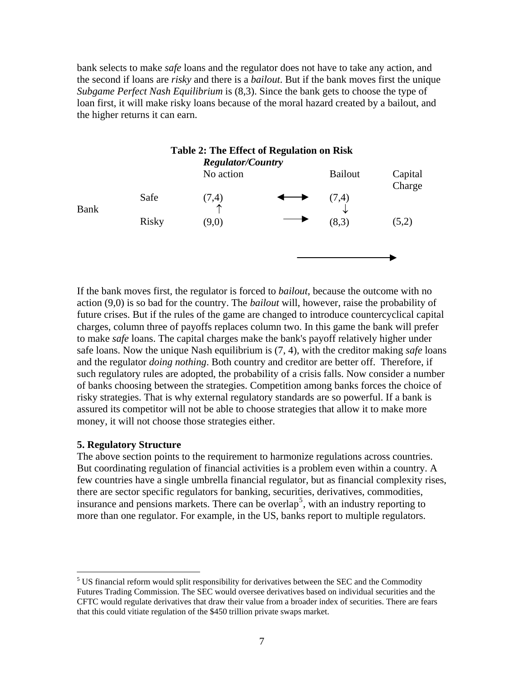bank selects to make *safe* loans and the regulator does not have to take any action, and the second if loans are *risky* and there is a *bailout*. But if the bank moves first the unique *Subgame Perfect Nash Equilibrium* is (8,3). Since the bank gets to choose the type of loan first, it will make risky loans because of the moral hazard created by a bailout, and the higher returns it can earn.



If the bank moves first*,* the regulator is forced to *bailout*, because the outcome with no action (9,0) is so bad for the country. The *bailout* will, however, raise the probability of future crises. But if the rules of the game are changed to introduce countercyclical capital charges, column three of payoffs replaces column two. In this game the bank will prefer to make *safe* loans. The capital charges make the bank's payoff relatively higher under safe loans. Now the unique Nash equilibrium is (7, 4), with the creditor making *safe* loans and the regulator *doing nothing*. Both country and creditor are better off. Therefore, if such regulatory rules are adopted, the probability of a crisis falls. Now consider a number of banks choosing between the strategies. Competition among banks forces the choice of risky strategies. That is why external regulatory standards are so powerful. If a bank is assured its competitor will not be able to choose strategies that allow it to make more money, it will not choose those strategies either.

### **5. Regulatory Structure**

 $\overline{a}$ 

The above section points to the requirement to harmonize regulations across countries. But coordinating regulation of financial activities is a problem even within a country. A few countries have a single umbrella financial regulator, but as financial complexity rises, there are sector specific regulators for banking, securities, derivatives, commodities, insurance and pensions markets. There can be overlap<sup>[5](#page-6-0)</sup>, with an industry reporting to more than one regulator. For example, in the US, banks report to multiple regulators.

<span id="page-6-0"></span> $<sup>5</sup>$  US financial reform would split responsibility for derivatives between the SEC and the Commodity</sup> Futures Trading Commission. The SEC would oversee derivatives based on individual securities and the CFTC would regulate derivatives that draw their value from a broader index of securities. There are fears that this could vitiate regulation of the \$450 trillion private swaps market.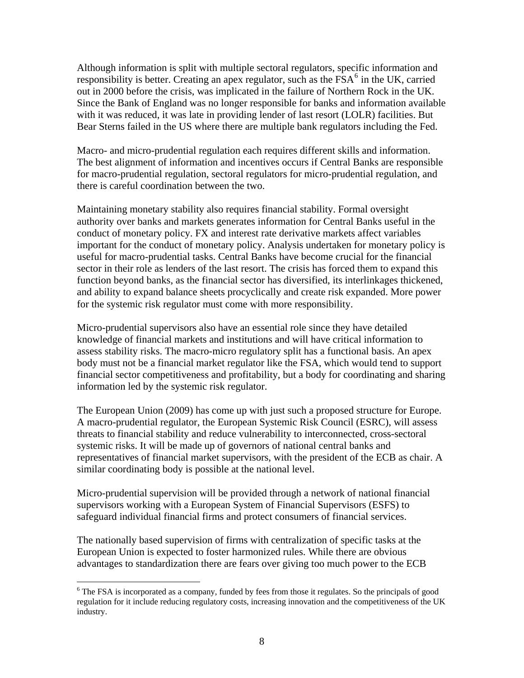Although information is split with multiple sectoral regulators, specific information and responsibility is better. Creating an apex regulator, such as the  $\text{FSA}^6$  $\text{FSA}^6$  in the UK, carried out in 2000 before the crisis, was implicated in the failure of Northern Rock in the UK. Since the Bank of England was no longer responsible for banks and information available with it was reduced, it was late in providing lender of last resort (LOLR) facilities. But Bear Sterns failed in the US where there are multiple bank regulators including the Fed.

Macro- and micro-prudential regulation each requires different skills and information. The best alignment of information and incentives occurs if Central Banks are responsible for macro-prudential regulation, sectoral regulators for micro-prudential regulation, and there is careful coordination between the two.

Maintaining monetary stability also requires financial stability. Formal oversight authority over banks and markets generates information for Central Banks useful in the conduct of monetary policy. FX and interest rate derivative markets affect variables important for the conduct of monetary policy. Analysis undertaken for monetary policy is useful for macro-prudential tasks. Central Banks have become crucial for the financial sector in their role as lenders of the last resort. The crisis has forced them to expand this function beyond banks, as the financial sector has diversified, its interlinkages thickened, and ability to expand balance sheets procyclically and create risk expanded. More power for the systemic risk regulator must come with more responsibility.

Micro-prudential supervisors also have an essential role since they have detailed knowledge of financial markets and institutions and will have critical information to assess stability risks. The macro-micro regulatory split has a functional basis. An apex body must not be a financial market regulator like the FSA, which would tend to support financial sector competitiveness and profitability, but a body for coordinating and sharing information led by the systemic risk regulator.

The European Union (2009) has come up with just such a proposed structure for Europe. A macro-prudential regulator, the European Systemic Risk Council (ESRC), will assess threats to financial stability and reduce vulnerability to interconnected, cross-sectoral systemic risks. It will be made up of governors of national central banks and representatives of financial market supervisors, with the president of the ECB as chair. A similar coordinating body is possible at the national level.

Micro-prudential supervision will be provided through a network of national financial supervisors working with a European System of Financial Supervisors (ESFS) to safeguard individual financial firms and protect consumers of financial services.

The nationally based supervision of firms with centralization of specific tasks at the European Union is expected to foster harmonized rules. While there are obvious advantages to standardization there are fears over giving too much power to the ECB

<span id="page-7-0"></span><sup>&</sup>lt;sup>6</sup> The FSA is incorporated as a company, funded by fees from those it regulates. So the principals of good regulation for it include reducing regulatory costs, increasing innovation and the competitiveness of the UK industry.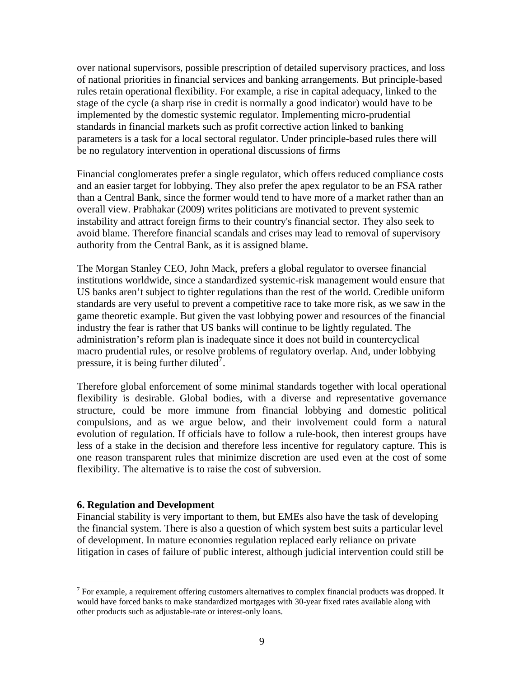over national supervisors, possible prescription of detailed supervisory practices, and loss of national priorities in financial services and banking arrangements. But principle-based rules retain operational flexibility. For example, a rise in capital adequacy, linked to the stage of the cycle (a sharp rise in credit is normally a good indicator) would have to be implemented by the domestic systemic regulator. Implementing micro-prudential standards in financial markets such as profit corrective action linked to banking parameters is a task for a local sectoral regulator. Under principle-based rules there will be no regulatory intervention in operational discussions of firms

Financial conglomerates prefer a single regulator, which offers reduced compliance costs and an easier target for lobbying. They also prefer the apex regulator to be an FSA rather than a Central Bank, since the former would tend to have more of a market rather than an overall view. Prabhakar (2009) writes politicians are motivated to prevent systemic instability and attract foreign firms to their country's financial sector. They also seek to avoid blame. Therefore financial scandals and crises may lead to removal of supervisory authority from the Central Bank, as it is assigned blame.

The Morgan Stanley CEO, John Mack, prefers a global regulator to oversee financial institutions worldwide, since a standardized systemic-risk management would ensure that US banks aren't subject to tighter regulations than the rest of the world. Credible uniform standards are very useful to prevent a competitive race to take more risk, as we saw in the game theoretic example. But given the vast lobbying power and resources of the financial industry the fear is rather that US banks will continue to be lightly regulated. The administration's reform plan is inadequate since it does not build in countercyclical macro prudential rules, or resolve problems of regulatory overlap. And, under lobbying pressure, it is being further diluted<sup>[7](#page-8-0)</sup>.

Therefore global enforcement of some minimal standards together with local operational flexibility is desirable. Global bodies, with a diverse and representative governance structure, could be more immune from financial lobbying and domestic political compulsions, and as we argue below, and their involvement could form a natural evolution of regulation. If officials have to follow a rule-book, then interest groups have less of a stake in the decision and therefore less incentive for regulatory capture. This is one reason transparent rules that minimize discretion are used even at the cost of some flexibility. The alternative is to raise the cost of subversion.

### **6. Regulation and Development**

 $\overline{a}$ 

Financial stability is very important to them, but EMEs also have the task of developing the financial system. There is also a question of which system best suits a particular level of development. In mature economies regulation replaced early reliance on private litigation in cases of failure of public interest, although judicial intervention could still be

<span id="page-8-0"></span> $7$  For example, a requirement offering customers alternatives to complex financial products was dropped. It would have forced banks to make standardized mortgages with 30-year fixed rates available along with other products such as adjustable-rate or interest-only loans.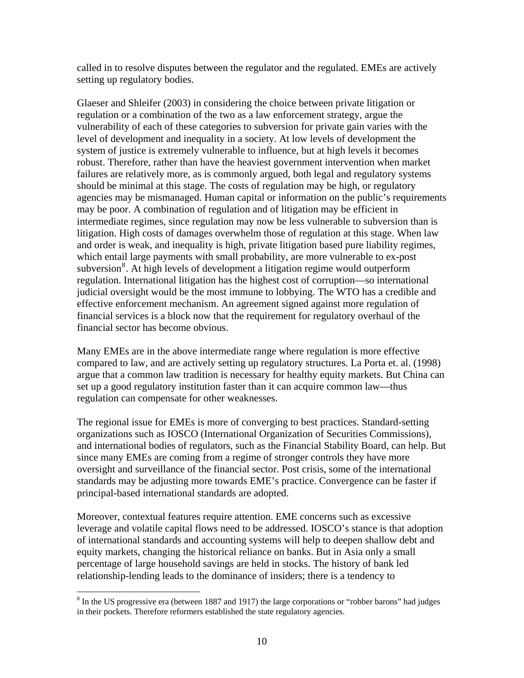called in to resolve disputes between the regulator and the regulated. EMEs are actively setting up regulatory bodies.

Glaeser and Shleifer (2003) in considering the choice between private litigation or regulation or a combination of the two as a law enforcement strategy, argue the vulnerability of each of these categories to subversion for private gain varies with the level of development and inequality in a society. At low levels of development the system of justice is extremely vulnerable to influence, but at high levels it becomes robust. Therefore, rather than have the heaviest government intervention when market failures are relatively more, as is commonly argued, both legal and regulatory systems should be minimal at this stage. The costs of regulation may be high, or regulatory agencies may be mismanaged. Human capital or information on the public's requirements may be poor. A combination of regulation and of litigation may be efficient in intermediate regimes, since regulation may now be less vulnerable to subversion than is litigation. High costs of damages overwhelm those of regulation at this stage. When law and order is weak, and inequality is high, private litigation based pure liability regimes, which entail large payments with small probability, are more vulnerable to ex-post subversion<sup>[8](#page-9-0)</sup>. At high levels of development a litigation regime would outperform regulation. International litigation has the highest cost of corruption—so international judicial oversight would be the most immune to lobbying. The WTO has a credible and effective enforcement mechanism. An agreement signed against more regulation of financial services is a block now that the requirement for regulatory overhaul of the financial sector has become obvious.

Many EMEs are in the above intermediate range where regulation is more effective compared to law, and are actively setting up regulatory structures. La Porta et. al. (1998) argue that a common law tradition is necessary for healthy equity markets. But China can set up a good regulatory institution faster than it can acquire common law—thus regulation can compensate for other weaknesses.

The regional issue for EMEs is more of converging to best practices. Standard-setting organizations such as IOSCO (International Organization of Securities Commissions), and international bodies of regulators, such as the Financial Stability Board, can help. But since many EMEs are coming from a regime of stronger controls they have more oversight and surveillance of the financial sector. Post crisis, some of the international standards may be adjusting more towards EME's practice. Convergence can be faster if principal-based international standards are adopted.

Moreover, contextual features require attention. EME concerns such as excessive leverage and volatile capital flows need to be addressed. IOSCO's stance is that adoption of international standards and accounting systems will help to deepen shallow debt and equity markets, changing the historical reliance on banks. But in Asia only a small percentage of large household savings are held in stocks. The history of bank led relationship-lending leads to the dominance of insiders; there is a tendency to

<span id="page-9-0"></span> $8 \text{ In the US progressive era}$  (between 1887 and 1917) the large corporations or "robber barons" had judges in their pockets. Therefore reformers established the state regulatory agencies.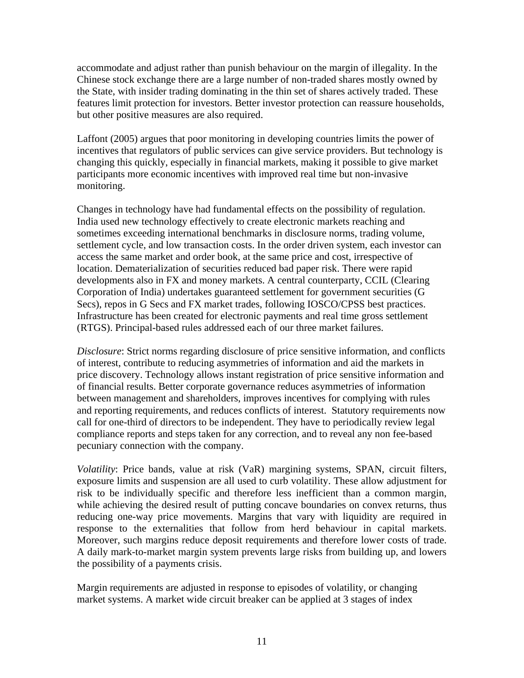accommodate and adjust rather than punish behaviour on the margin of illegality. In the Chinese stock exchange there are a large number of non-traded shares mostly owned by the State, with insider trading dominating in the thin set of shares actively traded. These features limit protection for investors. Better investor protection can reassure households, but other positive measures are also required.

Laffont (2005) argues that poor monitoring in developing countries limits the power of incentives that regulators of public services can give service providers. But technology is changing this quickly, especially in financial markets, making it possible to give market participants more economic incentives with improved real time but non-invasive monitoring.

Changes in technology have had fundamental effects on the possibility of regulation. India used new technology effectively to create electronic markets reaching and sometimes exceeding international benchmarks in disclosure norms, trading volume, settlement cycle, and low transaction costs. In the order driven system, each investor can access the same market and order book, at the same price and cost, irrespective of location. Dematerialization of securities reduced bad paper risk. There were rapid developments also in FX and money markets. A central counterparty, CCIL (Clearing Corporation of India) undertakes guaranteed settlement for government securities (G Secs), repos in G Secs and FX market trades, following IOSCO/CPSS best practices. Infrastructure has been created for electronic payments and real time gross settlement (RTGS). Principal-based rules addressed each of our three market failures.

*Disclosure*: Strict norms regarding disclosure of price sensitive information, and conflicts of interest, contribute to reducing asymmetries of information and aid the markets in price discovery. Technology allows instant registration of price sensitive information and of financial results. Better corporate governance reduces asymmetries of information between management and shareholders, improves incentives for complying with rules and reporting requirements, and reduces conflicts of interest. Statutory requirements now call for one-third of directors to be independent. They have to periodically review legal compliance reports and steps taken for any correction, and to reveal any non fee-based pecuniary connection with the company.

*Volatility*: Price bands, value at risk (VaR) margining systems, SPAN, circuit filters, exposure limits and suspension are all used to curb volatility. These allow adjustment for risk to be individually specific and therefore less inefficient than a common margin, while achieving the desired result of putting concave boundaries on convex returns, thus reducing one-way price movements. Margins that vary with liquidity are required in response to the externalities that follow from herd behaviour in capital markets. Moreover, such margins reduce deposit requirements and therefore lower costs of trade. A daily mark-to-market margin system prevents large risks from building up, and lowers the possibility of a payments crisis.

Margin requirements are adjusted in response to episodes of volatility, or changing market systems. A market wide circuit breaker can be applied at 3 stages of index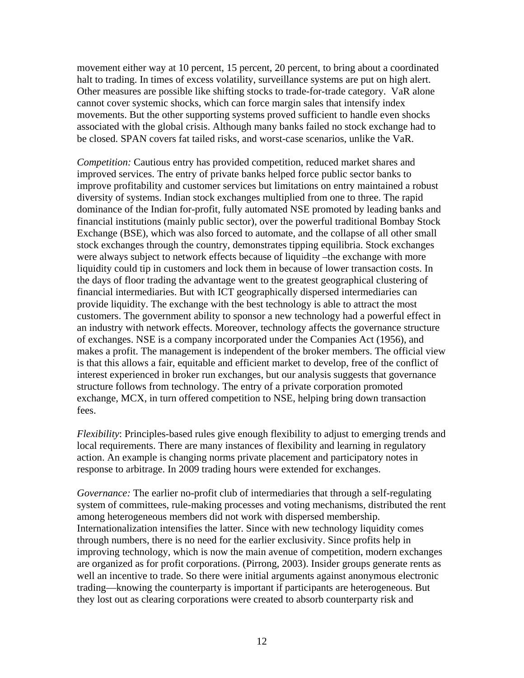movement either way at 10 percent, 15 percent, 20 percent, to bring about a coordinated halt to trading. In times of excess volatility, surveillance systems are put on high alert. Other measures are possible like shifting stocks to trade-for-trade category. VaR alone cannot cover systemic shocks, which can force margin sales that intensify index movements. But the other supporting systems proved sufficient to handle even shocks associated with the global crisis. Although many banks failed no stock exchange had to be closed. SPAN covers fat tailed risks, and worst-case scenarios, unlike the VaR.

*Competition:* Cautious entry has provided competition, reduced market shares and improved services. The entry of private banks helped force public sector banks to improve profitability and customer services but limitations on entry maintained a robust diversity of systems. Indian stock exchanges multiplied from one to three. The rapid dominance of the Indian for-profit, fully automated NSE promoted by leading banks and financial institutions (mainly public sector), over the powerful traditional Bombay Stock Exchange (BSE), which was also forced to automate, and the collapse of all other small stock exchanges through the country, demonstrates tipping equilibria. Stock exchanges were always subject to network effects because of liquidity –the exchange with more liquidity could tip in customers and lock them in because of lower transaction costs. In the days of floor trading the advantage went to the greatest geographical clustering of financial intermediaries. But with ICT geographically dispersed intermediaries can provide liquidity. The exchange with the best technology is able to attract the most customers. The government ability to sponsor a new technology had a powerful effect in an industry with network effects. Moreover, technology affects the governance structure of exchanges. NSE is a company incorporated under the Companies Act (1956), and makes a profit. The management is independent of the broker members. The official view is that this allows a fair, equitable and efficient market to develop, free of the conflict of interest experienced in broker run exchanges, but our analysis suggests that governance structure follows from technology. The entry of a private corporation promoted exchange, MCX, in turn offered competition to NSE, helping bring down transaction fees.

*Flexibility*: Principles-based rules give enough flexibility to adjust to emerging trends and local requirements. There are many instances of flexibility and learning in regulatory action. An example is changing norms private placement and participatory notes in response to arbitrage. In 2009 trading hours were extended for exchanges.

*Governance:* The earlier no-profit club of intermediaries that through a self-regulating system of committees, rule-making processes and voting mechanisms, distributed the rent among heterogeneous members did not work with dispersed membership. Internationalization intensifies the latter. Since with new technology liquidity comes through numbers, there is no need for the earlier exclusivity. Since profits help in improving technology, which is now the main avenue of competition, modern exchanges are organized as for profit corporations. (Pirrong, 2003). Insider groups generate rents as well an incentive to trade. So there were initial arguments against anonymous electronic trading—knowing the counterparty is important if participants are heterogeneous. But they lost out as clearing corporations were created to absorb counterparty risk and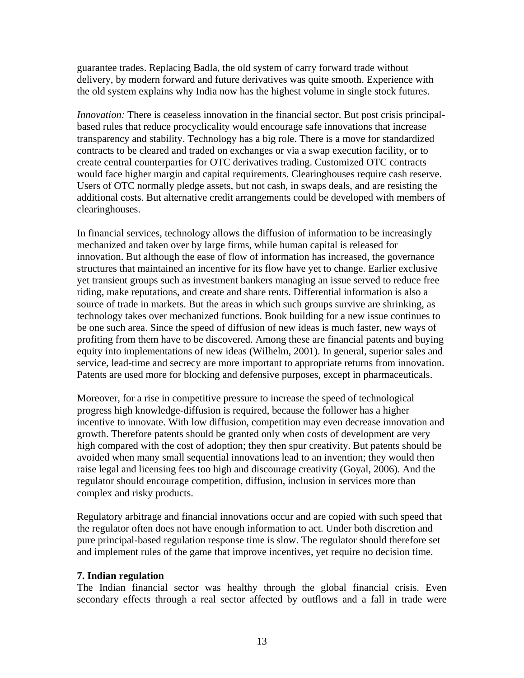guarantee trades. Replacing Badla, the old system of carry forward trade without delivery, by modern forward and future derivatives was quite smooth. Experience with the old system explains why India now has the highest volume in single stock futures.

*Innovation:* There is ceaseless innovation in the financial sector. But post crisis principalbased rules that reduce procyclicality would encourage safe innovations that increase transparency and stability. Technology has a big role. There is a move for standardized contracts to be cleared and traded on exchanges or via a swap execution facility, or to create central counterparties for OTC derivatives trading. Customized OTC contracts would face higher margin and capital requirements. Clearinghouses require cash reserve. Users of OTC normally pledge assets, but not cash, in swaps deals, and are resisting the additional costs. But alternative credit arrangements could be developed with members of clearinghouses.

In financial services, technology allows the diffusion of information to be increasingly mechanized and taken over by large firms, while human capital is released for innovation. But although the ease of flow of information has increased, the governance structures that maintained an incentive for its flow have yet to change. Earlier exclusive yet transient groups such as investment bankers managing an issue served to reduce free riding, make reputations, and create and share rents. Differential information is also a source of trade in markets. But the areas in which such groups survive are shrinking, as technology takes over mechanized functions. Book building for a new issue continues to be one such area. Since the speed of diffusion of new ideas is much faster, new ways of profiting from them have to be discovered. Among these are financial patents and buying equity into implementations of new ideas (Wilhelm, 2001). In general, superior sales and service, lead-time and secrecy are more important to appropriate returns from innovation. Patents are used more for blocking and defensive purposes, except in pharmaceuticals.

Moreover, for a rise in competitive pressure to increase the speed of technological progress high knowledge-diffusion is required, because the follower has a higher incentive to innovate. With low diffusion, competition may even decrease innovation and growth. Therefore patents should be granted only when costs of development are very high compared with the cost of adoption; they then spur creativity. But patents should be avoided when many small sequential innovations lead to an invention; they would then raise legal and licensing fees too high and discourage creativity (Goyal, 2006). And the regulator should encourage competition, diffusion, inclusion in services more than complex and risky products.

Regulatory arbitrage and financial innovations occur and are copied with such speed that the regulator often does not have enough information to act. Under both discretion and pure principal-based regulation response time is slow. The regulator should therefore set and implement rules of the game that improve incentives, yet require no decision time.

### **7. Indian regulation**

The Indian financial sector was healthy through the global financial crisis. Even secondary effects through a real sector affected by outflows and a fall in trade were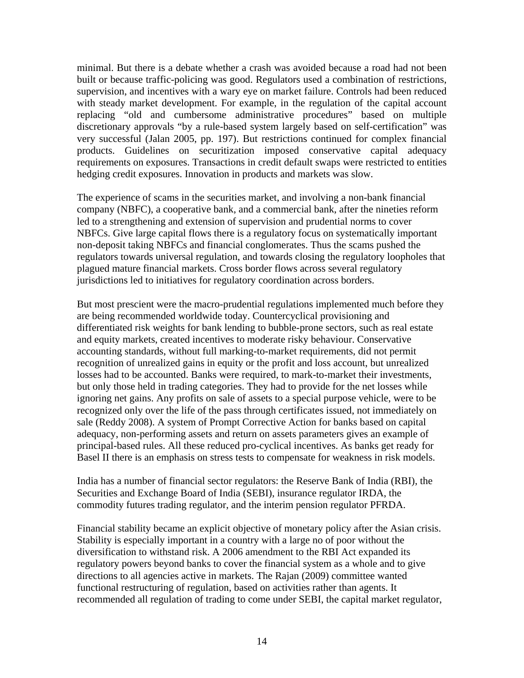minimal. But there is a debate whether a crash was avoided because a road had not been built or because traffic-policing was good. Regulators used a combination of restrictions, supervision, and incentives with a wary eye on market failure. Controls had been reduced with steady market development. For example, in the regulation of the capital account replacing "old and cumbersome administrative procedures" based on multiple discretionary approvals "by a rule-based system largely based on self-certification" was very successful (Jalan 2005, pp. 197). But restrictions continued for complex financial products. Guidelines on securitization imposed conservative capital adequacy requirements on exposures. Transactions in credit default swaps were restricted to entities hedging credit exposures. Innovation in products and markets was slow.

The experience of scams in the securities market, and involving a non-bank financial company (NBFC), a cooperative bank, and a commercial bank, after the nineties reform led to a strengthening and extension of supervision and prudential norms to cover NBFCs. Give large capital flows there is a regulatory focus on systematically important non-deposit taking NBFCs and financial conglomerates. Thus the scams pushed the regulators towards universal regulation, and towards closing the regulatory loopholes that plagued mature financial markets. Cross border flows across several regulatory jurisdictions led to initiatives for regulatory coordination across borders.

But most prescient were the macro-prudential regulations implemented much before they are being recommended worldwide today. Countercyclical provisioning and differentiated risk weights for bank lending to bubble-prone sectors, such as real estate and equity markets, created incentives to moderate risky behaviour. Conservative accounting standards, without full marking-to-market requirements, did not permit recognition of unrealized gains in equity or the profit and loss account, but unrealized losses had to be accounted. Banks were required, to mark-to-market their investments, but only those held in trading categories. They had to provide for the net losses while ignoring net gains. Any profits on sale of assets to a special purpose vehicle, were to be recognized only over the life of the pass through certificates issued, not immediately on sale (Reddy 2008). A system of Prompt Corrective Action for banks based on capital adequacy, non-performing assets and return on assets parameters gives an example of principal-based rules. All these reduced pro-cyclical incentives. As banks get ready for Basel II there is an emphasis on stress tests to compensate for weakness in risk models.

India has a number of financial sector regulators: the Reserve Bank of India (RBI), the Securities and Exchange Board of India (SEBI), insurance regulator IRDA, the commodity futures trading regulator, and the interim pension regulator PFRDA.

Financial stability became an explicit objective of monetary policy after the Asian crisis. Stability is especially important in a country with a large no of poor without the diversification to withstand risk. A 2006 amendment to the RBI Act expanded its regulatory powers beyond banks to cover the financial system as a whole and to give directions to all agencies active in markets. The Rajan (2009) committee wanted functional restructuring of regulation, based on activities rather than agents. It recommended all regulation of trading to come under SEBI, the capital market regulator,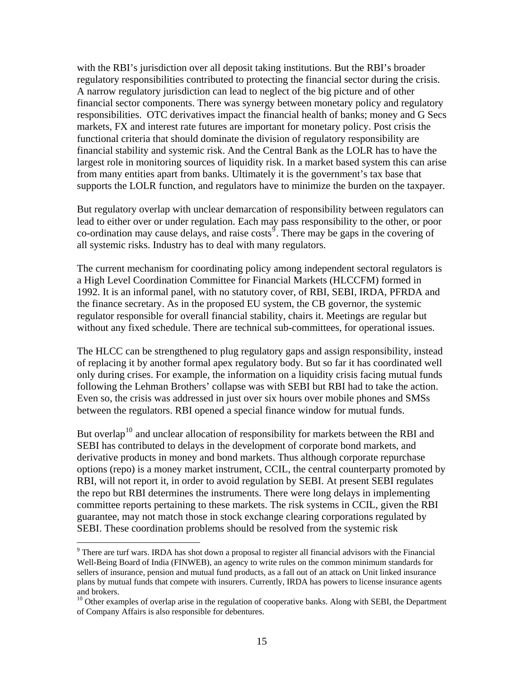with the RBI's jurisdiction over all deposit taking institutions. But the RBI's broader regulatory responsibilities contributed to protecting the financial sector during the crisis. A narrow regulatory jurisdiction can lead to neglect of the big picture and of other financial sector components. There was synergy between monetary policy and regulatory responsibilities. OTC derivatives impact the financial health of banks; money and G Secs markets, FX and interest rate futures are important for monetary policy. Post crisis the functional criteria that should dominate the division of regulatory responsibility are financial stability and systemic risk. And the Central Bank as the LOLR has to have the largest role in monitoring sources of liquidity risk. In a market based system this can arise from many entities apart from banks. Ultimately it is the government's tax base that supports the LOLR function, and regulators have to minimize the burden on the taxpayer.

But regulatory overlap with unclear demarcation of responsibility between regulators can lead to either over or under regulation. Each may pass responsibility to the other, or poor co-ordination may cause delays, and raise costs<sup>[9](#page-14-0)</sup>. There may be gaps in the covering of all systemic risks. Industry has to deal with many regulators.

The current mechanism for coordinating policy among independent sectoral regulators is a High Level Coordination Committee for Financial Markets (HLCCFM) formed in 1992. It is an informal panel, with no statutory cover, of RBI, SEBI, IRDA, PFRDA and the finance secretary. As in the proposed EU system, the CB governor, the systemic regulator responsible for overall financial stability, chairs it. Meetings are regular but without any fixed schedule. There are technical sub-committees, for operational issues.

The HLCC can be strengthened to plug regulatory gaps and assign responsibility, instead of replacing it by another formal apex regulatory body. But so far it has coordinated well only during crises. For example, the information on a liquidity crisis facing mutual funds following the Lehman Brothers' collapse was with SEBI but RBI had to take the action. Even so, the crisis was addressed in just over six hours over mobile phones and SMSs between the regulators. RBI opened a special finance window for mutual funds.

But overlap<sup>[10](#page-14-1)</sup> and unclear allocation of responsibility for markets between the RBI and SEBI has contributed to delays in the development of corporate bond markets, and derivative products in money and bond markets. Thus although corporate repurchase options (repo) is a money market instrument, CCIL, the central counterparty promoted by RBI, will not report it, in order to avoid regulation by SEBI. At present SEBI regulates the repo but RBI determines the instruments. There were long delays in implementing committee reports pertaining to these markets. The risk systems in CCIL, given the RBI guarantee, may not match those in stock exchange clearing corporations regulated by SEBI. These coordination problems should be resolved from the systemic risk

<span id="page-14-0"></span><sup>&</sup>lt;sup>9</sup> There are turf wars. IRDA has shot down a proposal to register all financial advisors with the Financial Well-Being Board of India (FINWEB), an agency to write rules on the common minimum standards for sellers of insurance, pension and mutual fund products, as a fall out of an attack on Unit linked insurance plans by mutual funds that compete with insurers. Currently, IRDA has powers to license insurance agents and brokers.

<span id="page-14-1"></span><sup>&</sup>lt;sup>10</sup> Other examples of overlap arise in the regulation of cooperative banks. Along with SEBI, the Department of Company Affairs is also responsible for debentures.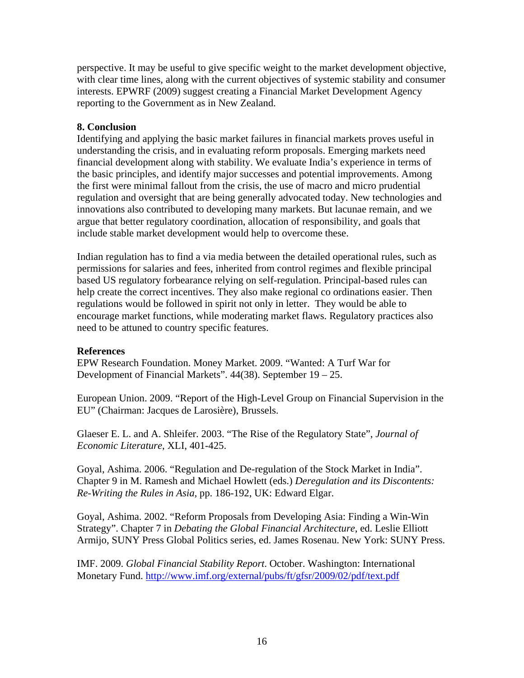perspective. It may be useful to give specific weight to the market development objective, with clear time lines, along with the current objectives of systemic stability and consumer interests. EPWRF (2009) suggest creating a Financial Market Development Agency reporting to the Government as in New Zealand.

## **8. Conclusion**

Identifying and applying the basic market failures in financial markets proves useful in understanding the crisis, and in evaluating reform proposals. Emerging markets need financial development along with stability. We evaluate India's experience in terms of the basic principles, and identify major successes and potential improvements. Among the first were minimal fallout from the crisis, the use of macro and micro prudential regulation and oversight that are being generally advocated today. New technologies and innovations also contributed to developing many markets. But lacunae remain, and we argue that better regulatory coordination, allocation of responsibility, and goals that include stable market development would help to overcome these.

Indian regulation has to find a via media between the detailed operational rules, such as permissions for salaries and fees, inherited from control regimes and flexible principal based US regulatory forbearance relying on self-regulation. Principal-based rules can help create the correct incentives. They also make regional co ordinations easier. Then regulations would be followed in spirit not only in letter. They would be able to encourage market functions, while moderating market flaws. Regulatory practices also need to be attuned to country specific features.

### **References**

EPW Research Foundation. Money Market. 2009. "Wanted: A Turf War for Development of Financial Markets". 44(38). September 19 – 25.

European Union. 2009. "Report of the High-Level Group on Financial Supervision in the EU" (Chairman: Jacques de Larosière), Brussels.

Glaeser E. L. and A. Shleifer. 2003. "The Rise of the Regulatory State", *Journal of Economic Literature*, XLI, 401-425.

Goyal, Ashima. 2006. "Regulation and De-regulation of the Stock Market in India". Chapter 9 in M. Ramesh and Michael Howlett (eds.) *Deregulation and its Discontents: Re-Writing the Rules in Asia*, pp. 186-192, UK: Edward Elgar.

Goyal, Ashima. 2002. "Reform Proposals from Developing Asia: Finding a Win-Win Strategy". Chapter 7 in *Debating the Global Financial Architecture*, ed. Leslie Elliott Armijo, SUNY Press Global Politics series, ed. James Rosenau. New York: SUNY Press.

IMF. 2009. *Global Financial Stability Report*. October. Washington: International Monetary Fund.<http://www.imf.org/external/pubs/ft/gfsr/2009/02/pdf/text.pdf>